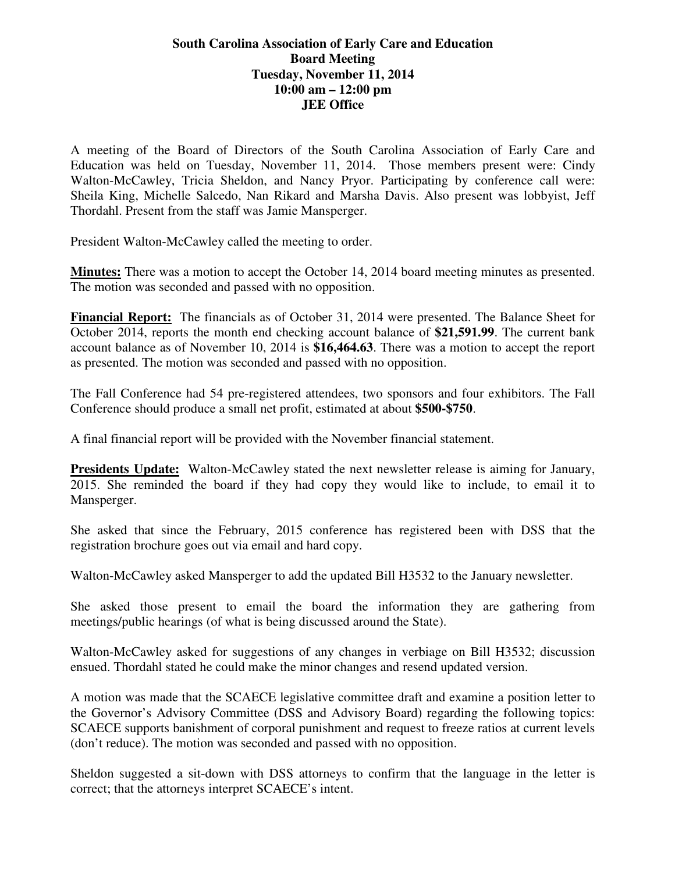## **South Carolina Association of Early Care and Education Board Meeting Tuesday, November 11, 2014 10:00 am – 12:00 pm JEE Office**

A meeting of the Board of Directors of the South Carolina Association of Early Care and Education was held on Tuesday, November 11, 2014. Those members present were: Cindy Walton-McCawley, Tricia Sheldon, and Nancy Pryor. Participating by conference call were: Sheila King, Michelle Salcedo, Nan Rikard and Marsha Davis. Also present was lobbyist, Jeff Thordahl. Present from the staff was Jamie Mansperger.

President Walton-McCawley called the meeting to order.

**Minutes:** There was a motion to accept the October 14, 2014 board meeting minutes as presented. The motion was seconded and passed with no opposition.

**Financial Report:** The financials as of October 31, 2014 were presented. The Balance Sheet for October 2014, reports the month end checking account balance of **\$21,591.99**. The current bank account balance as of November 10, 2014 is **\$16,464.63**. There was a motion to accept the report as presented. The motion was seconded and passed with no opposition.

The Fall Conference had 54 pre-registered attendees, two sponsors and four exhibitors. The Fall Conference should produce a small net profit, estimated at about **\$500-\$750**.

A final financial report will be provided with the November financial statement.

**Presidents Update:** Walton-McCawley stated the next newsletter release is aiming for January, 2015. She reminded the board if they had copy they would like to include, to email it to Mansperger.

She asked that since the February, 2015 conference has registered been with DSS that the registration brochure goes out via email and hard copy.

Walton-McCawley asked Mansperger to add the updated Bill H3532 to the January newsletter.

She asked those present to email the board the information they are gathering from meetings/public hearings (of what is being discussed around the State).

Walton-McCawley asked for suggestions of any changes in verbiage on Bill H3532; discussion ensued. Thordahl stated he could make the minor changes and resend updated version.

A motion was made that the SCAECE legislative committee draft and examine a position letter to the Governor's Advisory Committee (DSS and Advisory Board) regarding the following topics: SCAECE supports banishment of corporal punishment and request to freeze ratios at current levels (don't reduce). The motion was seconded and passed with no opposition.

Sheldon suggested a sit-down with DSS attorneys to confirm that the language in the letter is correct; that the attorneys interpret SCAECE's intent.